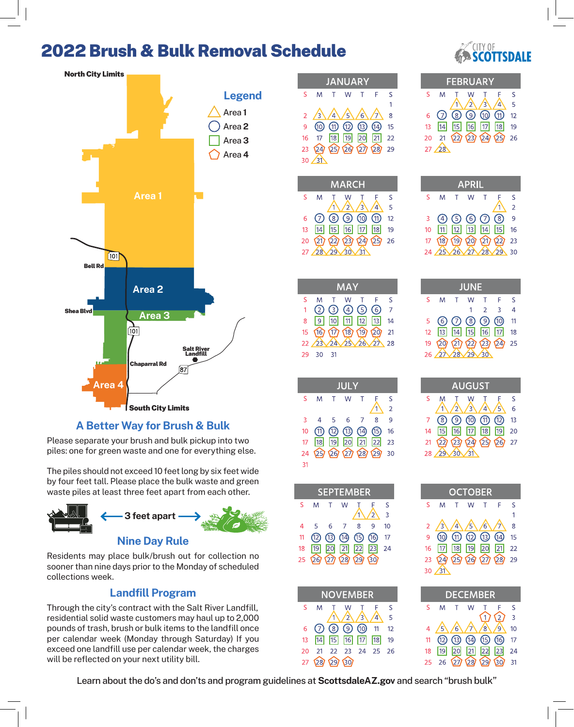## 2022 Brush & Bulk Removal Schedule



**A Better Way for Brush & Bulk**

Please separate your brush and bulk pickup into two piles: one for green waste and one for everything else.

The piles should not exceed 10 feet long by six feet wide by four feet tall. Please place the bulk waste and green waste piles at least three feet apart from each other.



Residents may place bulk/brush out for collection no sooner than nine days prior to the Monday of scheduled collections week.

#### **Landfill Program**

Through the city's contract with the Salt River Landfill, residential solid waste customers may haul up to 2,000 pounds of trash, brush or bulk items to the landfill once per calendar week (Monday through Saturday) If you exceed one landfill use per calendar week, the charges will be reflected on your next utility bill.

| Δ<br>K<br>JAR                                                                                                                              |  |
|--------------------------------------------------------------------------------------------------------------------------------------------|--|
| S<br>F<br>S<br>M<br>Τ<br>W<br>Τ                                                                                                            |  |
| 1<br>$\overline{a}$<br>3<br>$\overline{4}$<br>$\overline{5}$<br>$\overline{6}$<br>8<br>7                                                   |  |
| ⋒<br>$^\circledR$<br>⊕<br>$^\circledR$<br>4<br>9<br>15                                                                                     |  |
| 18<br><b>19</b><br>20<br>17<br>$\boxed{21}$<br>$\overline{22}$<br>16<br>24<br>25/29<br>23<br>28<br>$\binom{27}{2}$<br>29                   |  |
| 30<br>31                                                                                                                                   |  |
| <b>RCH</b><br>Ą                                                                                                                            |  |
| S<br>M<br>S<br>Ŵ<br>Ę<br>t<br>I                                                                                                            |  |
| 1<br>$\overline{2}$<br>$\overline{4}$<br>5<br>3                                                                                            |  |
| $\circledcirc$<br>$\bigcirc$<br>$^\circledR$<br>➀<br>$\oslash$<br>12<br>6<br>$\overline{14}$<br>15<br>16<br>13<br>$\boxed{17}$<br>18<br>19 |  |
| $\widehat{2\eta}$<br>(23)<br>20 <sub>1</sub><br>22)<br>24<br>25)<br>26                                                                     |  |
| 28<br>29<br>$\overline{27}$<br>30<br>31                                                                                                    |  |
|                                                                                                                                            |  |
| $\overline{\mathcal{L}}$                                                                                                                   |  |
| S<br>M<br>W<br>S<br>F<br>Τ<br>Τ<br>⑥<br>$\mathbf{1}$<br>C<br>G<br>$\overline{7}$<br>G<br>$\overline{A}$                                    |  |
| 9<br>10<br>$\overline{12}$<br>13<br>11<br>$\overline{14}$<br>8                                                                             |  |
| 167<br>(19)<br>15<br>(17)<br>$\overline{20}$<br>(18)<br>21<br>2 <sup>3</sup><br>$\overline{2}$<br>24<br>25<br>26<br>28<br>27               |  |
| 29<br>30<br>31                                                                                                                             |  |
|                                                                                                                                            |  |
| <b>JUL</b>                                                                                                                                 |  |
| S<br>M<br>W<br>T<br>Τ<br>Ę<br>S<br>ī<br>$\overline{\mathbf{c}}$                                                                            |  |
| 8<br>3<br>6<br>9<br>4<br>5<br>7                                                                                                            |  |
| Պ<br>⑬<br>伌<br>(15)<br>10<br>14<br>16<br>17<br><b>18</b><br>19<br>$\overline{20}$<br>21<br>23<br><u>22</u>                                 |  |
| නු<br>24<br>26<br>囟<br>$\Omega$<br>29<br>30                                                                                                |  |
| 31                                                                                                                                         |  |
| <b>BER</b><br>EP.<br>EM                                                                                                                    |  |
| ;<br>M<br>W<br>S<br>Τ<br>τ<br>Ę                                                                                                            |  |
| 1<br>$\overline{2}$<br>$\overline{3}$<br>10                                                                                                |  |
| ŀ<br>5<br>6<br>8<br>9<br>7<br>1<br><u> 12)</u><br>13)<br>⑮<br>൹<br>⑭<br>17                                                                 |  |
| 3<br>19<br>20<br>$\boxed{21}$<br>22<br>$\sqrt{23}$<br>$\overline{24}$                                                                      |  |
| 5<br>29<br>26<br>$\overline{27}$<br>28<br>30 <sub>l</sub>                                                                                  |  |
|                                                                                                                                            |  |
| <b>EMBER</b><br>NO<br>S<br>Ŵ<br>M<br>S<br>Τ<br>F<br>Τ                                                                                      |  |
| $\overline{2}$<br>3<br>î<br>$\overline{4}$<br>5                                                                                            |  |
| ②<br>@<br>(7)<br>(8)<br>12<br>6<br>11<br>$\overline{17}$<br>18<br>19                                                                       |  |
| 14 <br>15<br>16<br>13<br>$\overline{21}$<br>$\overline{20}$<br>22<br>$\overline{23}$<br>24<br>25<br>26                                     |  |
| 29<br>30<br>27<br>28                                                                                                                       |  |



|    | <b>FEBRUARY</b> |  |            |                                              |                   |                |  |  |
|----|-----------------|--|------------|----------------------------------------------|-------------------|----------------|--|--|
| ς  | M               |  |            |                                              |                   | ς              |  |  |
|    |                 |  | $\sqrt{2}$ | $\mathbf{B}$                                 |                   | $\overline{5}$ |  |  |
| 6. |                 |  |            | $\Omega$ $\Omega$ $\Omega$ $\Omega$ $\Omega$ |                   | 12             |  |  |
| 13 |                 |  |            | 14 15 16 17 18                               |                   | 19             |  |  |
|    |                 |  |            |                                              | 21 22 23 24 25 26 |                |  |  |
|    |                 |  |            |                                              |                   |                |  |  |

|    |                 |             | <b>APRIL</b> |    |                                    |                |
|----|-----------------|-------------|--------------|----|------------------------------------|----------------|
| ς  | M               |             | W            |    |                                    | ς              |
|    |                 |             |              |    |                                    | $\overline{2}$ |
| 3  |                 |             | 4 5 6 7 8    |    |                                    | 9              |
| 10 | $\overline{11}$ |             | 12 13 14 15  |    |                                    | 16             |
| 17 |                 |             |              |    | $(18)$ $(19)$ $(20)$ $(21)$ $(22)$ | 23             |
| 24 | 25              | $\sqrt{26}$ | $2\lambda$   | 28 |                                    | 30             |

| SEPTEMBER       |   |        |   |                          |   |                |  |  |  |
|-----------------|---|--------|---|--------------------------|---|----------------|--|--|--|
| S               | M | $\top$ | W |                          |   | ς              |  |  |  |
|                 |   |        |   |                          |   | $\overline{3}$ |  |  |  |
| 4               | 5 | 6      |   | Զ                        | q | 10             |  |  |  |
| 11 <sub>1</sub> |   |        |   | 12 13 14 15 16           |   | 17             |  |  |  |
| 18              |   |        |   | 19 20 21 22 23           |   | 24             |  |  |  |
| $25 -$          |   |        |   | $29$ $27$ $28$ $29$ $30$ |   |                |  |  |  |

| <b>NOVEMBER</b> |                |  |                                          |  |                |    |  |  |
|-----------------|----------------|--|------------------------------------------|--|----------------|----|--|--|
| -S              | M              |  | - W                                      |  |                | S  |  |  |
|                 |                |  | $\sqrt{2}\sqrt{3}$                       |  | $\overline{4}$ | 5  |  |  |
| 6               |                |  | $O$ $\odot$ $O$ $\odot$ $\odot$ $\cdots$ |  |                | 12 |  |  |
| $13 -$          |                |  | 14 15 16 17 18                           |  |                | 19 |  |  |
| 20              | 21 22 23 24 25 |  |                                          |  |                | 26 |  |  |
|                 | 27 28 29 30    |  |                                          |  |                |    |  |  |

| JUNE |                                    |     |  |        |                            |                 |  |  |
|------|------------------------------------|-----|--|--------|----------------------------|-----------------|--|--|
| S.   | M.                                 | T W |  | $\top$ | - F                        | ς               |  |  |
|      |                                    |     |  | 1 2    | $\mathbf{R}$               | Δ               |  |  |
|      | $5$ 6 $\odot$ 8 $\odot$ 10         |     |  |        |                            | $\overline{11}$ |  |  |
|      |                                    |     |  |        | 12  13  14  15  16  17  18 |                 |  |  |
|      |                                    |     |  |        | 19 20 21 22 23 24 25       |                 |  |  |
|      | $26 \times 28 \times 29 \times 30$ |     |  |        |                            |                 |  |  |

| <b>AUGUST</b> |  |             |               |                                                             |                                  |    |  |
|---------------|--|-------------|---------------|-------------------------------------------------------------|----------------------------------|----|--|
|               |  |             |               |                                                             |                                  | ς  |  |
|               |  |             | $\sqrt{31/2}$ | $\overline{4}$                                              | 5                                | 6  |  |
|               |  |             |               | $\circledcirc$ $\circledcirc$ $\circledcirc$ $\circledcirc$ |                                  | 13 |  |
| 14            |  |             |               |                                                             |                                  | 20 |  |
|               |  |             |               |                                                             | $22)$ $23)$ $24)$ $25)$ $26)$ 27 |    |  |
| 28            |  | $\sqrt{30}$ | $\sqrt{31}$   |                                                             |                                  |    |  |

| <b>OCTOBER</b> |                                                  |  |       |  |     |    |  |  |
|----------------|--------------------------------------------------|--|-------|--|-----|----|--|--|
| S.             | M                                                |  | T W T |  | – F | ς  |  |  |
|                |                                                  |  |       |  |     |    |  |  |
|                | 2 $\left/3\right/4\left/5\right/6\left/7\right/$ |  |       |  |     | 8  |  |  |
|                | 9 00 0 0 0 0 0 0 0                               |  |       |  |     | 15 |  |  |
|                | 16 17 18 19 20 21 22                             |  |       |  |     |    |  |  |
|                | 23 24 25 26 27 28 29                             |  |       |  |     |    |  |  |
|                |                                                  |  |       |  |     |    |  |  |

| <b>DECEMBER</b> |    |  |   |                |                   |                |  |  |
|-----------------|----|--|---|----------------|-------------------|----------------|--|--|
| ς               | M  |  | W |                |                   | ς              |  |  |
|                 |    |  |   |                |                   | $\overline{3}$ |  |  |
|                 |    |  |   | 6亿人人。          | $\mathsf{g}$      | 10             |  |  |
| 11              |    |  |   | 12 13 14 15 16 |                   | 17             |  |  |
| 18              | 19 |  |   |                | 20 21 22 23       | 24             |  |  |
|                 |    |  |   |                | 26 27 28 29 30 31 |                |  |  |

Learn about the do's and don'ts and program guidelines at **ScottsdaleAZ.gov** and search "brush bulk"